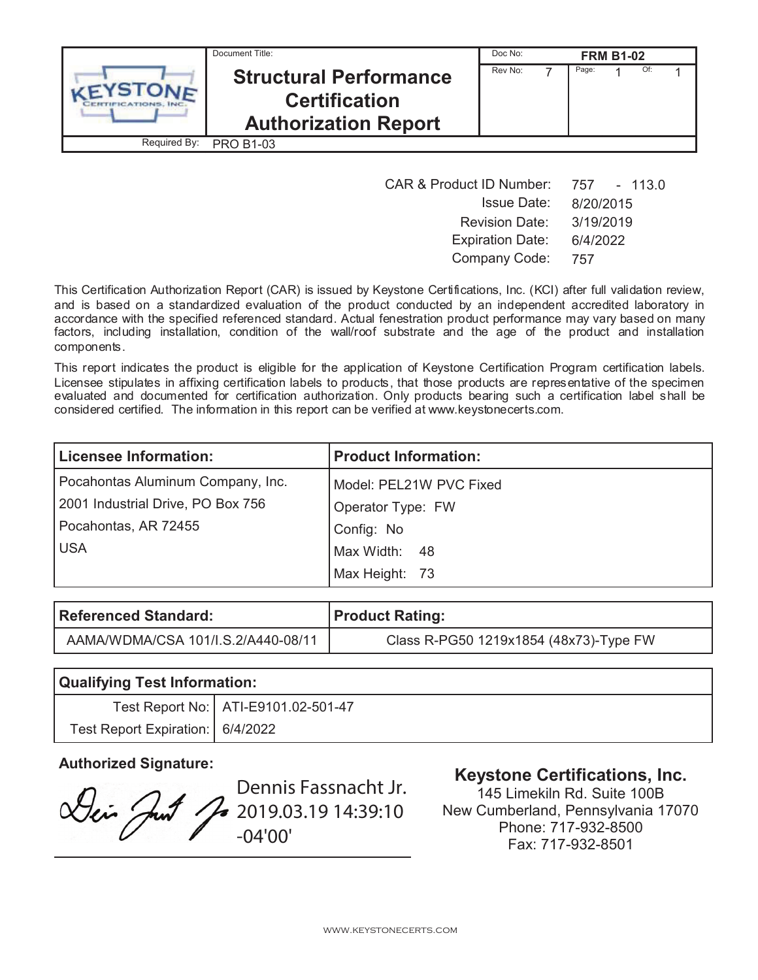|              | Document Title:                                                                      | Doc No: | <b>FRM B1-02</b> |     |  |
|--------------|--------------------------------------------------------------------------------------|---------|------------------|-----|--|
|              | <b>Structural Performance</b><br><b>Certification</b><br><b>Authorization Report</b> | Rev No: | Page:            | Of: |  |
| Required By: | <b>PRO B1-03</b>                                                                     |         |                  |     |  |

| <b>CAR &amp; Product ID Number:</b> | 757 - 113.0 |
|-------------------------------------|-------------|
| <b>Issue Date:</b>                  | 8/20/2015   |
| <b>Revision Date:</b>               | 3/19/2019   |
| <b>Expiration Date:</b>             | 6/4/2022    |
| Company Code:                       | 757         |

This Certification Authorization Report (CAR) is issued by Keystone Certifications, Inc. (KCI) after full validation review, and is based on a standardized evaluation of the product conducted by an independent accredited laboratory in accordance with the specified referenced standard. Actual fenestration product performance may vary based on many factors, including installation, condition of the wall/roof substrate and the age of the product and installation components.

This report indicates the product is eligible for the application of Keystone Certification Program certification labels. Licensee stipulates in affixing certification labels to products, that those products are representative of the specimen evaluated and documented for certification authorization. Only products bearing such a certification label shall be considered certified. The information in this report can be verified at www.keystonecerts.com.

| <b>Licensee Information:</b>      | <b>Product Information:</b> |
|-----------------------------------|-----------------------------|
| Pocahontas Aluminum Company, Inc. | Model: PEL21W PVC Fixed     |
| 2001 Industrial Drive, PO Box 756 | Operator Type: FW           |
| Pocahontas, AR 72455              | Config: No                  |
| <b>USA</b>                        | Max Width: 48               |
|                                   | Max Height: 73              |

| Referenced Standard:               | Product Rating:                        |
|------------------------------------|----------------------------------------|
| AAMA/WDMA/CSA 101/I.S.2/A440-08/11 | Class R-PG50 1219x1854 (48x73)-Type FW |

| <b>Qualifying Test Information:</b> |                                       |  |
|-------------------------------------|---------------------------------------|--|
|                                     | Test Report No:   ATI-E9101.02-501-47 |  |
| Test Report Expiration:   6/4/2022  |                                       |  |

Dei Just

Dennis Fassnacht Jr. 2019.03.19 14:39:10 -04'00'

# **Authorized Signature: Keystone Certifications, Inc.**

145 Limekiln Rd. Suite 100B New Cumberland, Pennsylvania 17070 Phone: 717-932-8500 Fax: 717-932-8501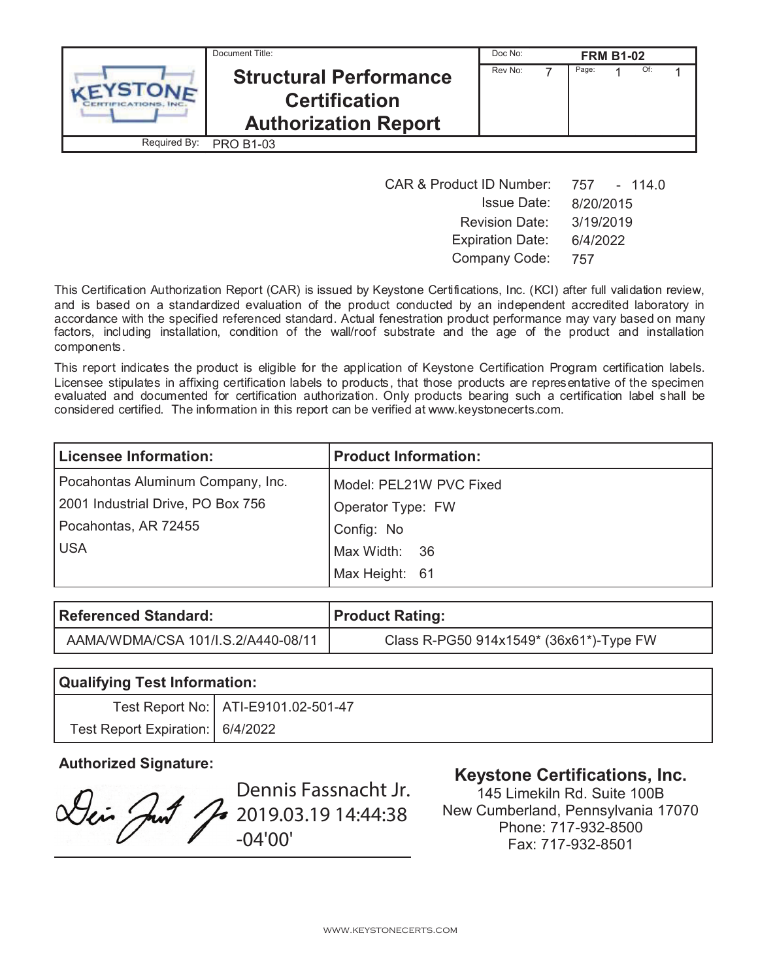|              | Document Title:                                                                      | Doc No: |       | <b>FRM B1-02</b> |     |  |
|--------------|--------------------------------------------------------------------------------------|---------|-------|------------------|-----|--|
|              | <b>Structural Performance</b><br><b>Certification</b><br><b>Authorization Report</b> | Rev No: | Page: |                  | Of: |  |
| Required By: | <b>PRO B1-03</b>                                                                     |         |       |                  |     |  |

| <b>CAR &amp; Product ID Number:</b> | 757 - 114.0 |
|-------------------------------------|-------------|
| <b>Issue Date:</b>                  | 8/20/2015   |
| <b>Revision Date:</b>               | 3/19/2019   |
| <b>Expiration Date:</b>             | 6/4/2022    |
| Company Code:                       | 757         |

This Certification Authorization Report (CAR) is issued by Keystone Certifications, Inc. (KCI) after full validation review, and is based on a standardized evaluation of the product conducted by an independent accredited laboratory in accordance with the specified referenced standard. Actual fenestration product performance may vary based on many factors, including installation, condition of the wall/roof substrate and the age of the product and installation components.

This report indicates the product is eligible for the application of Keystone Certification Program certification labels. Licensee stipulates in affixing certification labels to products, that those products are representative of the specimen evaluated and documented for certification authorization. Only products bearing such a certification label shall be considered certified. The information in this report can be verified at www.keystonecerts.com.

| <b>Licensee Information:</b>      | <b>Product Information:</b> |
|-----------------------------------|-----------------------------|
| Pocahontas Aluminum Company, Inc. | Model: PEL21W PVC Fixed     |
| 2001 Industrial Drive, PO Box 756 | Operator Type: FW           |
| Pocahontas, AR 72455              | Config: No                  |
| <b>USA</b>                        | Max Width: 36               |
|                                   | Max Height: 61              |

| <b>Referenced Standard:</b>        | Product Rating:                         |
|------------------------------------|-----------------------------------------|
| AAMA/WDMA/CSA 101/I.S.2/A440-08/11 | Class R-PG50 914x1549* (36x61*)-Type FW |

| <b>Qualifying Test Information:</b> |                                       |  |
|-------------------------------------|---------------------------------------|--|
|                                     | Test Report No:   ATI-E9101.02-501-47 |  |
| Test Report Expiration:   6/4/2022  |                                       |  |

Dennis Fassnacht Jr. Dei Just 2019.03.19 14:44:38 -04'00'

# **Authorized Signature: Keystone Certifications, Inc.**

145 Limekiln Rd. Suite 100B New Cumberland, Pennsylvania 17070 Phone: 717-932-8500 Fax: 717-932-8501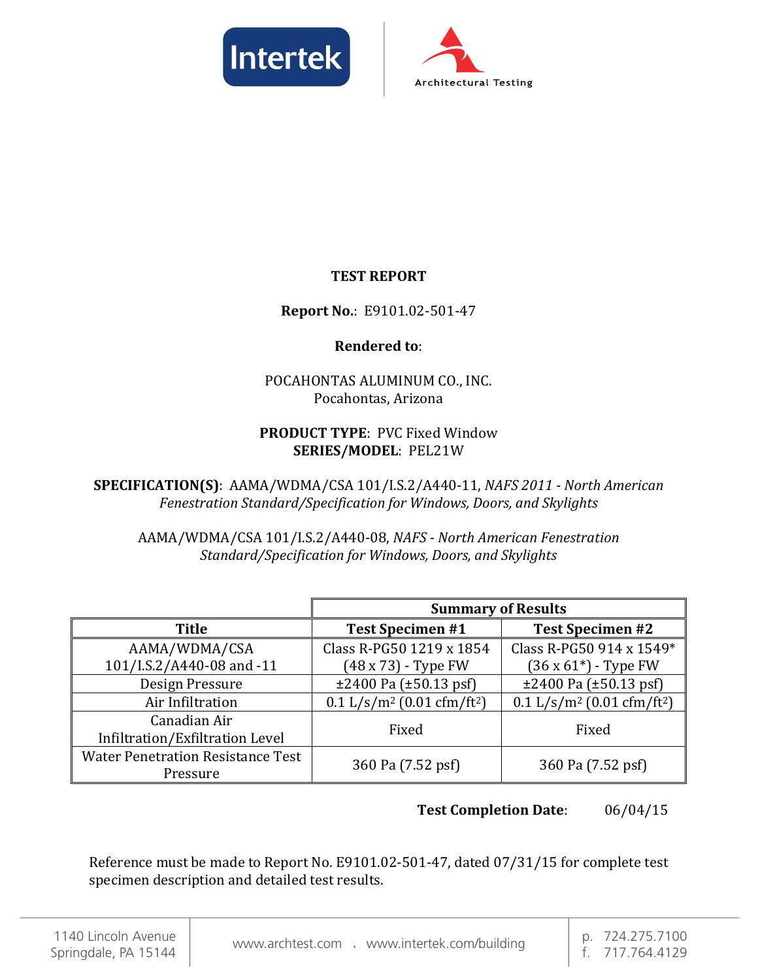



# **TEST REPORT**

# **Report No.**: E9101.02-501-47

# **Rendered to**:

# POCAHONTAS ALUMINUM CO., INC. Pocahontas, Arizona

# **PRODUCT TYPE**: PVC Fixed Window **SERIES/MODEL**: PEL21W

**SPECIFICATION(S)**: AAMA/WDMA/CSA 101/I.S.2/A440-11, *NAFS 2011 - North American Fenestration Standard/Specification for Windows, Doors, and Skylights*

AAMA/WDMA/CSA 101/I.S.2/A440-08, *NAFS - North American Fenestration Standard/Specification for Windows, Doors, and Skylights*

|                                                      | <b>Summary of Results</b>                            |                                                      |  |  |
|------------------------------------------------------|------------------------------------------------------|------------------------------------------------------|--|--|
| <b>Title</b>                                         | <b>Test Specimen #1</b>                              | <b>Test Specimen #2</b>                              |  |  |
| AAMA/WDMA/CSA                                        | Class R-PG50 1219 x 1854                             | Class R-PG50 914 x 1549*                             |  |  |
| 101/I.S.2/A440-08 and -11                            | $(48 \times 73)$ - Type FW                           | $(36 \times 61^*)$ - Type FW                         |  |  |
| Design Pressure                                      | $\pm 2400$ Pa ( $\pm 50.13$ psf)                     | $\pm 2400$ Pa ( $\pm 50.13$ psf)                     |  |  |
| Air Infiltration                                     | $0.1$ L/s/m <sup>2</sup> (0.01 cfm/ft <sup>2</sup> ) | $0.1$ L/s/m <sup>2</sup> (0.01 cfm/ft <sup>2</sup> ) |  |  |
| Canadian Air<br>Infiltration/Exfiltration Level      | Fixed                                                | Fixed                                                |  |  |
| <b>Water Penetration Resistance Test</b><br>Pressure | 360 Pa (7.52 psf)                                    | 360 Pa (7.52 psf)                                    |  |  |

# **Test Completion Date**: 06/04/15

Reference must be made to Report No. E9101.02-501-47, dated 07/31/15 for complete test specimen description and detailed test results.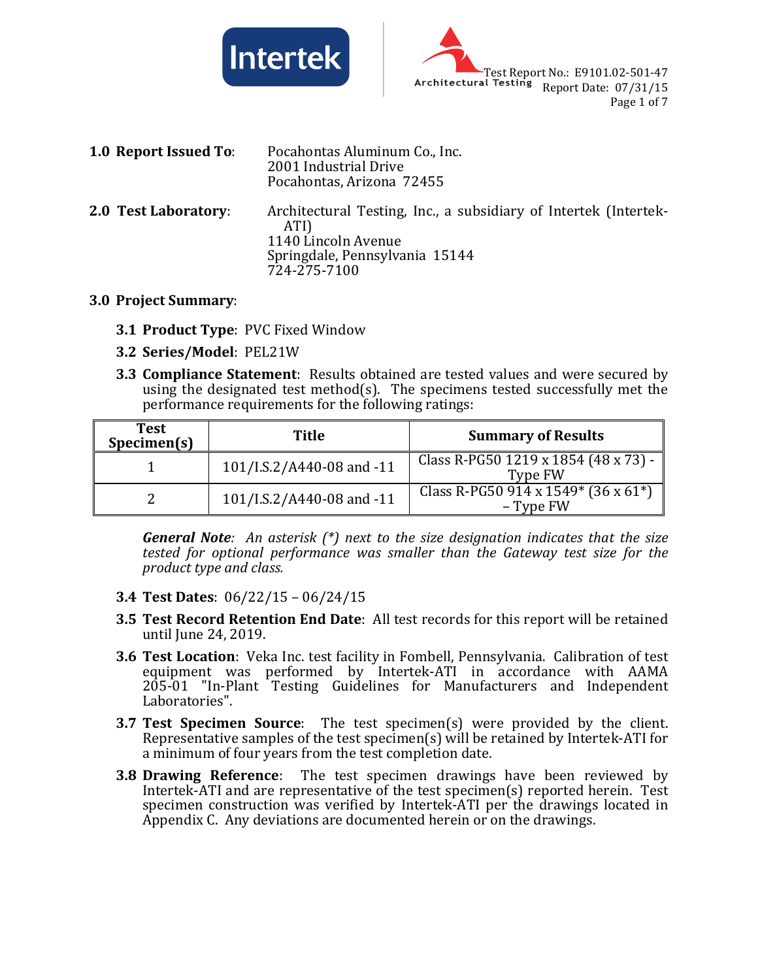



| 1.0 Report Issued To: | Pocahontas Aluminum Co., Inc.<br>2001 Industrial Drive<br>Pocahontas, Arizona 72455                                                               |
|-----------------------|---------------------------------------------------------------------------------------------------------------------------------------------------|
| 2.0 Test Laboratory:  | Architectural Testing, Inc., a subsidiary of Intertek (Intertek-<br>ATI)<br>1140 Lincoln Avenue<br>Springdale, Pennsylvania 15144<br>724-275-7100 |

#### **3.0 Project Summary**:

- **3.1 Product Type**: PVC Fixed Window
- **3.2 Series/Model**: PEL21W
- **3.3 Compliance Statement**: Results obtained are tested values and were secured by using the designated test method(s). The specimens tested successfully met the performance requirements for the following ratings:

| <b>Test</b><br>Specimen(s) | Title                     | <b>Summary of Results</b>                        |
|----------------------------|---------------------------|--------------------------------------------------|
|                            | 101/I.S.2/A440-08 and -11 | Class R-PG50 1219 x 1854 (48 x 73) -<br>Type FW  |
|                            | 101/I.S.2/A440-08 and -11 | Class R-PG50 914 x 1549* (36 x 61*)<br>– Type FW |

*General Note: An asterisk (\*) next to the size designation indicates that the size tested for optional performance was smaller than the Gateway test size for the product type and class.*

- **3.4 Test Dates**: 06/22/15 06/24/15
- **3.5 Test Record Retention End Date**: All test records for this report will be retained until June 24, 2019.
- **3.6 Test Location**: Veka Inc. test facility in Fombell, Pennsylvania. Calibration of test equipment was performed by Intertek-ATI in accordance with AAMA 205-01 "In-Plant Testing Guidelines for Manufacturers and Independent Laboratories".
- **3.7 Test Specimen Source**: The test specimen(s) were provided by the client. Representative samples of the test specimen(s) will be retained by Intertek-ATI for a minimum of four years from the test completion date.
- **3.8 Drawing Reference**: The test specimen drawings have been reviewed by Intertek-ATI and are representative of the test specimen(s) reported herein. Test specimen construction was verified by Intertek-ATI per the drawings located in Appendix C. Any deviations are documented herein or on the drawings.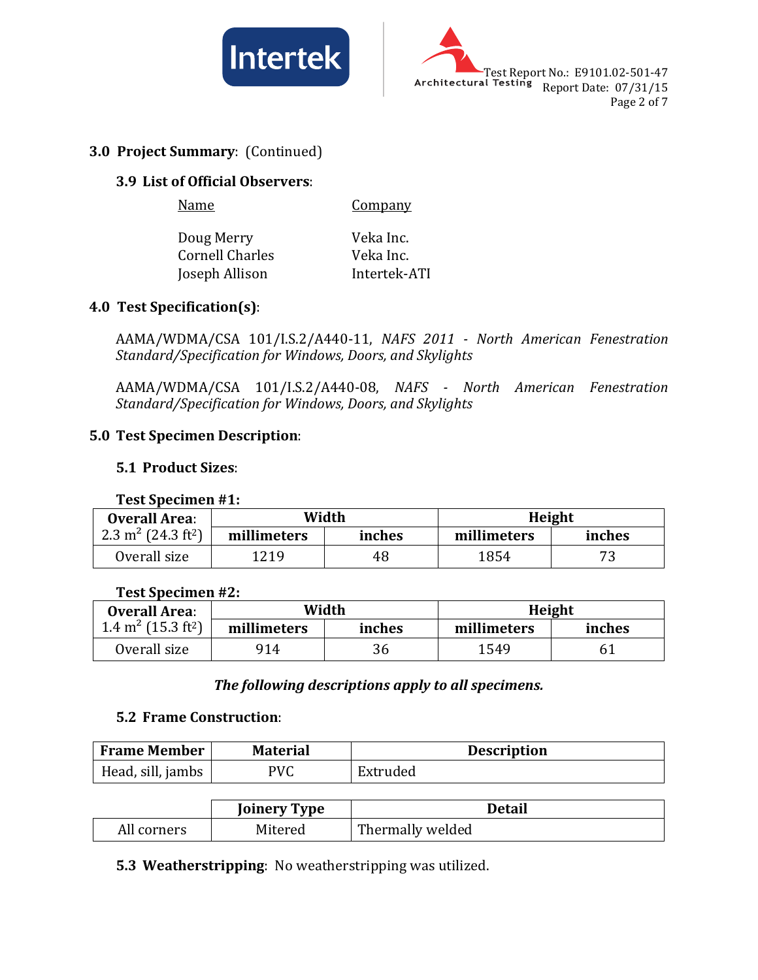



## **3.0 Project Summary**: (Continued)

## **3.9 List of Official Observers**:

Name Company

Doug Merry **Veka Inc.**<br>Cornell Charles **Veka Inc.** Cornell Charles<br>
Ioseph Allison<br>
Intertek-ATI Joseph Allison

# **4.0 Test Specification(s)**:

AAMA/WDMA/CSA 101/I.S.2/A440-11, *NAFS 2011 - North American Fenestration Standard/Specification for Windows, Doors, and Skylights*

AAMA/WDMA/CSA 101/I.S.2/A440-08, *NAFS - North American Fenestration Standard/Specification for Windows, Doors, and Skylights*

# **5.0 Test Specimen Description**:

#### **5.1 Product Sizes**:

#### **Test Specimen #1:**

| <b>Overall Area:</b>                       | Width       |        | Height      |        |
|--------------------------------------------|-------------|--------|-------------|--------|
| 2.3 m <sup>2</sup> (24.3 ft <sup>2</sup> ) | millimeters | inches | millimeters | inches |
| Overall size                               | 1219        | 48     | 1854        | 73     |

#### **Test Specimen #2:**

| <b>Overall Area:</b>                       | Width       |        | Height |        |
|--------------------------------------------|-------------|--------|--------|--------|
| 1.4 m <sup>2</sup> (15.3 ft <sup>2</sup> ) | millimeters | inches |        | inches |
| Overall size                               | 914         | 36     | 1549   |        |

## *The following descriptions apply to all specimens.*

#### **5.2 Frame Construction**:

| <b>Frame Member</b> | <b>Material</b> | <b>Description</b> |
|---------------------|-----------------|--------------------|
| Head, sill, jambs   | PVC             | Extruded           |

|             | <b>Joinery Type</b> | Detail           |
|-------------|---------------------|------------------|
| All corners | Mitered             | Thermally welded |

**5.3 Weatherstripping**: No weatherstripping was utilized.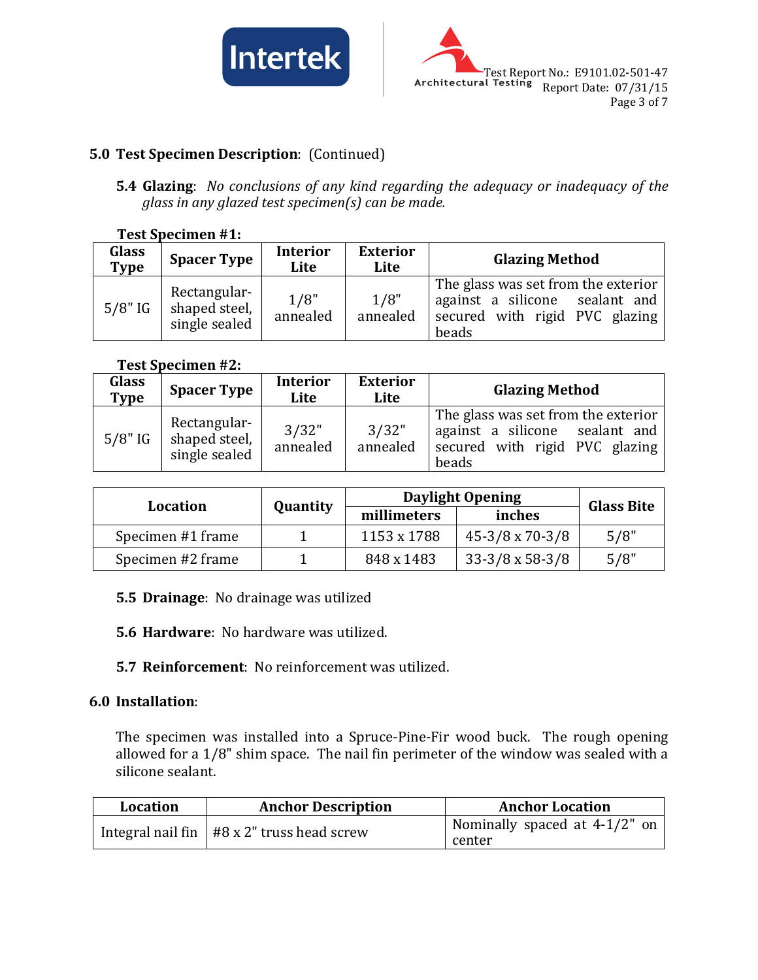



# **5.0 Test Specimen Description**: (Continued)

**5.4 Glazing**: *No conclusions of any kind regarding the adequacy or inadequacy of the glass in any glazed test specimen(s) can be made.*

#### **Test Specimen #1:**

| <b>Glass</b><br><b>Type</b> | <b>Spacer Type</b>                             | <b>Interior</b><br>Lite | <b>Exterior</b><br>Lite | <b>Glazing Method</b>                                                                                            |
|-----------------------------|------------------------------------------------|-------------------------|-------------------------|------------------------------------------------------------------------------------------------------------------|
| $5/8"$ IG                   | Rectangular-<br>shaped steel,<br>single sealed | 1/8"<br>annealed        | 1/8"<br>annealed        | The glass was set from the exterior<br>against a silicone sealant and<br>secured with rigid PVC glazing<br>beads |

#### **Test Specimen #2:**

| <b>Glass</b><br>Type | <b>Spacer Type</b>                             | <b>Interior</b><br>Lite | <b>Exterior</b><br>Lite | <b>Glazing Method</b>                                                                                            |
|----------------------|------------------------------------------------|-------------------------|-------------------------|------------------------------------------------------------------------------------------------------------------|
| $5/8"$ IG            | Rectangular-<br>shaped steel,<br>single sealed | 3/32"<br>annealed       | 3/32"<br>annealed       | The glass was set from the exterior<br>against a silicone sealant and<br>secured with rigid PVC glazing<br>beads |

| Location          |          | <b>Daylight Opening</b> | <b>Glass Bite</b>      |      |
|-------------------|----------|-------------------------|------------------------|------|
|                   | Quantity | millimeters             | inches                 |      |
| Specimen #1 frame |          | 1153 x 1788             | $45-3/8 \times 70-3/8$ | 5/8" |
| Specimen #2 frame |          | 848 x 1483              | $33-3/8 \times 58-3/8$ | 5/8" |

## **5.5 Drainage**: No drainage was utilized

**5.6 Hardware**: No hardware was utilized.

**5.7 Reinforcement**: No reinforcement was utilized.

## **6.0 Installation**:

The specimen was installed into a Spruce-Pine-Fir wood buck. The rough opening allowed for a 1/8" shim space. The nail fin perimeter of the window was sealed with a silicone sealant.

| <b>Location</b> | <b>Anchor Description</b>                      | <b>Anchor Location</b>        |  |
|-----------------|------------------------------------------------|-------------------------------|--|
|                 | Integral nail fin $ $ #8 x 2" truss head screw | Nominally spaced at 4-1/2" on |  |
|                 |                                                | center                        |  |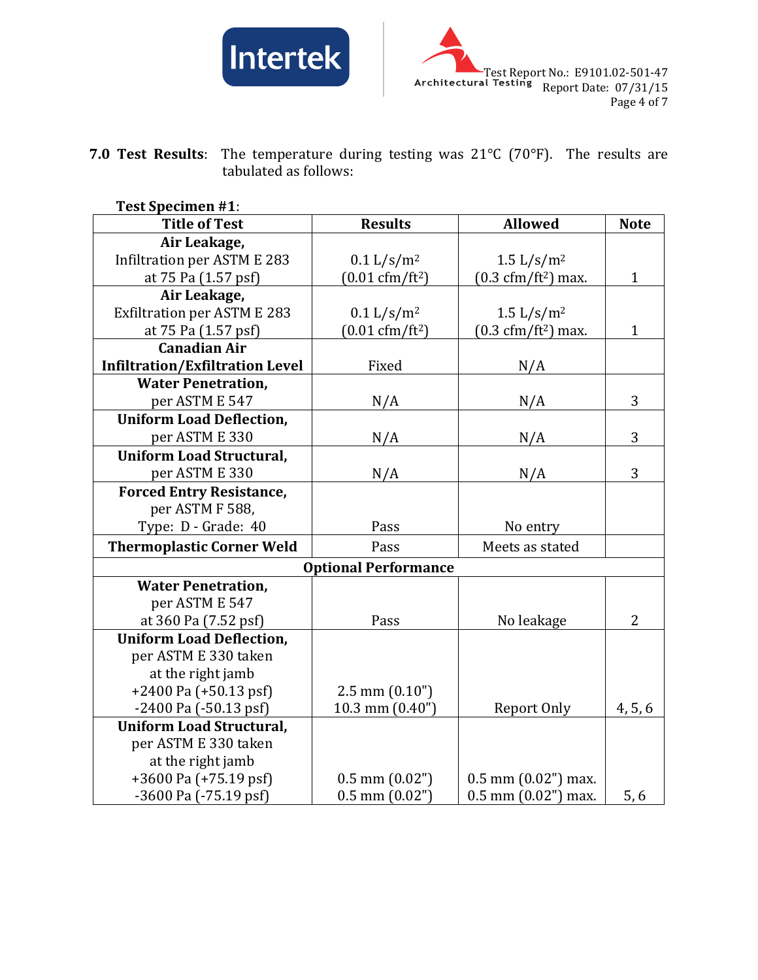



**7.0 Test Results**: The temperature during testing was 21°C (70°F). The results are tabulated as follows:

| <b>Test Specimen #1:</b>               |                                  |                                              |                |
|----------------------------------------|----------------------------------|----------------------------------------------|----------------|
| <b>Title of Test</b>                   | <b>Results</b>                   | <b>Allowed</b>                               | <b>Note</b>    |
| Air Leakage,                           |                                  |                                              |                |
| Infiltration per ASTM E 283            | $0.1 \frac{L}{s/m^2}$            | 1.5 $L/s/m^2$                                |                |
| at 75 Pa (1.57 psf)                    | $(0.01 \text{ cfm}/\text{ft}^2)$ | $(0.3 \text{ cfm}/\text{ft}^2) \text{ max.}$ | $\mathbf{1}$   |
| Air Leakage,                           |                                  |                                              |                |
| <b>Exfiltration per ASTM E 283</b>     | 0.1 L/s/m <sup>2</sup>           | 1.5 $L/s/m^2$                                |                |
| at 75 Pa (1.57 psf)                    | $(0.01 \text{ cfm}/\text{ft}^2)$ | $(0.3 \text{ cfm}/\text{ft}^2)$ max.         | $\mathbf{1}$   |
| <b>Canadian Air</b>                    |                                  |                                              |                |
| <b>Infiltration/Exfiltration Level</b> | Fixed                            | N/A                                          |                |
| <b>Water Penetration,</b>              |                                  |                                              |                |
| per ASTM E 547                         | N/A                              | N/A                                          | 3              |
| <b>Uniform Load Deflection,</b>        |                                  |                                              |                |
| per ASTM E 330                         | N/A                              | N/A                                          | 3              |
| <b>Uniform Load Structural,</b>        |                                  |                                              |                |
| per ASTM E 330                         | N/A                              | N/A                                          | 3              |
| <b>Forced Entry Resistance,</b>        |                                  |                                              |                |
| per ASTM F 588,                        |                                  |                                              |                |
| Type: D - Grade: 40                    | Pass                             | No entry                                     |                |
| <b>Thermoplastic Corner Weld</b>       | Pass                             | Meets as stated                              |                |
|                                        | <b>Optional Performance</b>      |                                              |                |
| <b>Water Penetration,</b>              |                                  |                                              |                |
| per ASTM E 547                         |                                  |                                              |                |
| at 360 Pa (7.52 psf)                   | Pass                             | No leakage                                   | $\overline{2}$ |
| <b>Uniform Load Deflection,</b>        |                                  |                                              |                |
| per ASTM E 330 taken                   |                                  |                                              |                |
| at the right jamb                      |                                  |                                              |                |
| $+2400$ Pa $(+50.13$ psf)              | $2.5$ mm $(0.10")$               |                                              |                |
| $-2400$ Pa $(-50.13$ psf)              | 10.3 mm $(0.40")$                | Report Only                                  | 4, 5, 6        |
| <b>Uniform Load Structural,</b>        |                                  |                                              |                |
| per ASTM E 330 taken                   |                                  |                                              |                |
| at the right jamb                      |                                  |                                              |                |
| $+3600$ Pa $(+75.19$ psf)              | $0.5$ mm $(0.02")$               | $0.5$ mm $(0.02")$ max.                      |                |
| -3600 Pa (-75.19 psf)                  | $0.5$ mm $(0.02")$               | $0.5$ mm $(0.02")$ max.                      | 5,6            |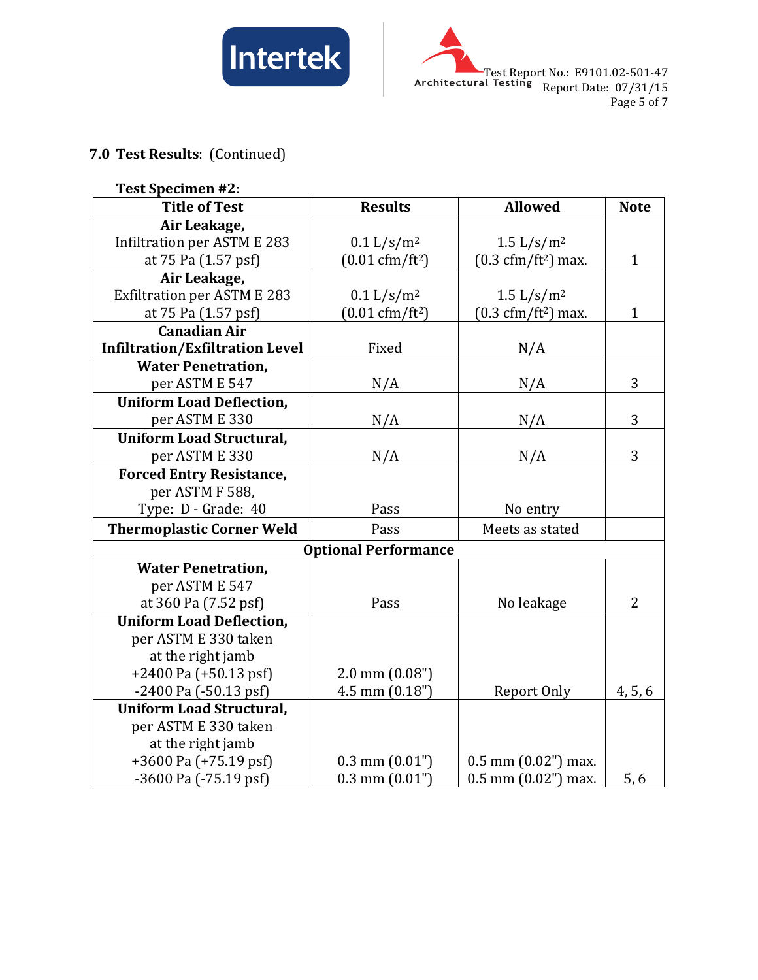



# **7.0 Test Results**: (Continued)

| <b>Test Specimen #2:</b>               |                                  |                                      |                |
|----------------------------------------|----------------------------------|--------------------------------------|----------------|
| <b>Title of Test</b>                   | <b>Results</b>                   | <b>Allowed</b>                       | <b>Note</b>    |
| Air Leakage,                           |                                  |                                      |                |
| Infiltration per ASTM E 283            | 0.1 L/s/m <sup>2</sup>           | 1.5 $L/s/m^2$                        |                |
| at 75 Pa (1.57 psf)                    | $(0.01 \text{ cfm}/\text{ft}^2)$ | $(0.3 \text{ cfm}/\text{ft}^2)$ max. | $\mathbf{1}$   |
| Air Leakage,                           |                                  |                                      |                |
| <b>Exfiltration per ASTM E 283</b>     | 0.1 L/s/m <sup>2</sup>           | 1.5 $L/s/m^2$                        |                |
| at 75 Pa (1.57 psf)                    | $(0.01 \text{ cfm}/\text{ft}^2)$ | $(0.3 \text{ cfm}/\text{ft}^2)$ max. | $\mathbf{1}$   |
| <b>Canadian Air</b>                    |                                  |                                      |                |
| <b>Infiltration/Exfiltration Level</b> | Fixed                            | N/A                                  |                |
| <b>Water Penetration,</b>              |                                  |                                      |                |
| per ASTM E 547                         | N/A                              | N/A                                  | 3              |
| <b>Uniform Load Deflection,</b>        |                                  |                                      |                |
| per ASTM E 330                         | N/A                              | N/A                                  | 3              |
| <b>Uniform Load Structural,</b>        |                                  |                                      |                |
| per ASTM E 330                         | N/A                              | N/A                                  | 3              |
| <b>Forced Entry Resistance,</b>        |                                  |                                      |                |
| per ASTM F 588,                        |                                  |                                      |                |
| Type: D - Grade: 40                    | Pass                             | No entry                             |                |
| <b>Thermoplastic Corner Weld</b>       | Pass                             | Meets as stated                      |                |
|                                        | <b>Optional Performance</b>      |                                      |                |
| <b>Water Penetration,</b>              |                                  |                                      |                |
| per ASTM E 547                         |                                  |                                      |                |
| at 360 Pa (7.52 psf)                   | Pass                             | No leakage                           | $\overline{2}$ |
| <b>Uniform Load Deflection,</b>        |                                  |                                      |                |
| per ASTM E 330 taken                   |                                  |                                      |                |
| at the right jamb                      |                                  |                                      |                |
| $+2400$ Pa $(+50.13$ psf)              | $2.0$ mm $(0.08")$               |                                      |                |
| $-2400$ Pa $(-50.13$ psf)              | 4.5 mm $(0.18")$                 | Report Only                          | 4, 5, 6        |
| <b>Uniform Load Structural,</b>        |                                  |                                      |                |
| per ASTM E 330 taken                   |                                  |                                      |                |
| at the right jamb                      |                                  |                                      |                |
| $+3600$ Pa $(+75.19$ psf)              | $0.3$ mm $(0.01")$               | $0.5$ mm $(0.02")$ max.              |                |
| -3600 Pa (-75.19 psf)                  | $0.3$ mm $(0.01")$               | $0.5$ mm $(0.02")$ max.              | 5,6            |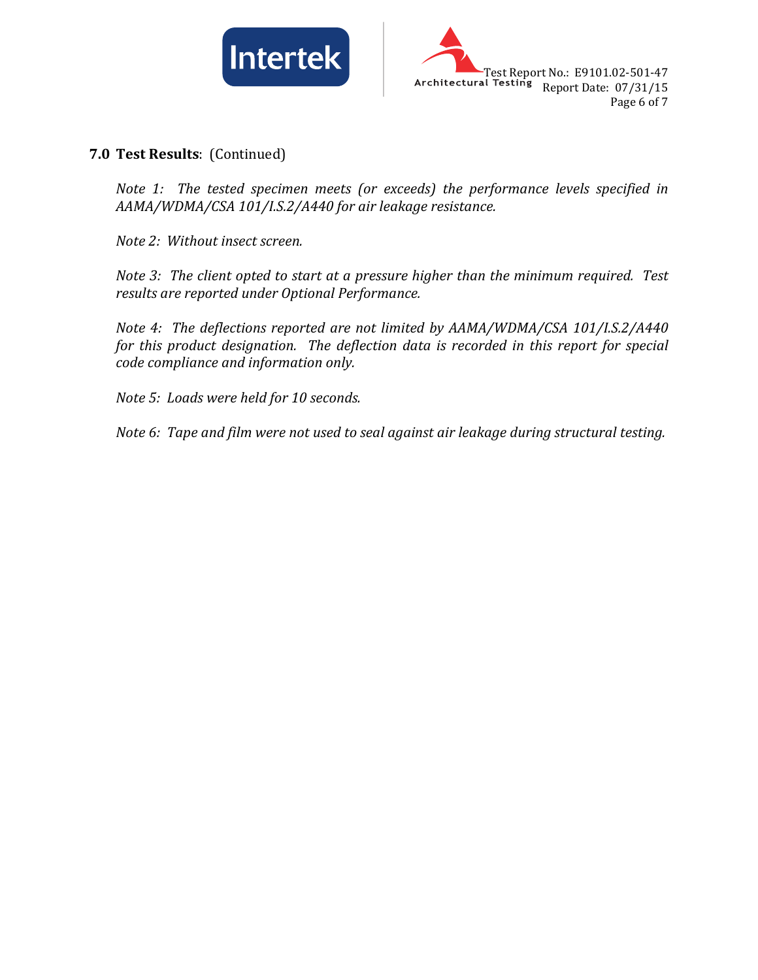



**7.0 Test Results**: (Continued)

*Note 1: The tested specimen meets (or exceeds) the performance levels specified in AAMA/WDMA/CSA 101/I.S.2/A440 for air leakage resistance.*

*Note 2: Without insect screen.*

*Note 3: The client opted to start at a pressure higher than the minimum required. Test results are reported under Optional Performance.*

*Note 4: The deflections reported are not limited by AAMA/WDMA/CSA 101/I.S.2/A440 for this product designation. The deflection data is recorded in this report for special code compliance and information only.*

*Note 5: Loads were held for 10 seconds.*

*Note 6: Tape and film were not used to seal against air leakage during structural testing.*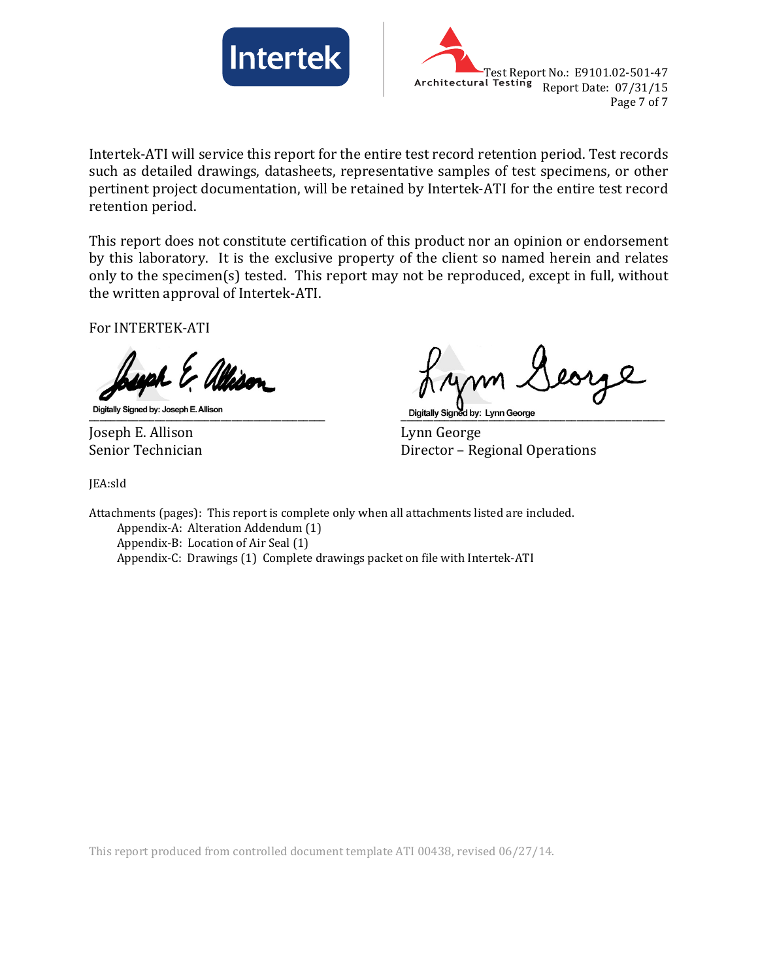



Intertek-ATI will service this report for the entire test record retention period. Test records such as detailed drawings, datasheets, representative samples of test specimens, or other pertinent project documentation, will be retained by Intertek-ATI for the entire test record retention period.

This report does not constitute certification of this product nor an opinion or endorsement by this laboratory. It is the exclusive property of the client so named herein and relates only to the specimen(s) tested. This report may not be reproduced, except in full, without the written approval of Intertek-ATI.

For INTERTEK-ATI

Joseph E. Allison Lynn George

\_\_\_\_\_\_\_\_\_\_\_\_\_\_\_\_\_\_\_\_\_\_\_\_\_\_\_\_\_\_\_\_\_\_\_\_\_\_\_\_\_\_\_ \_\_\_\_\_\_\_\_\_\_\_\_\_\_\_\_\_\_\_\_\_\_\_\_\_\_\_\_\_\_\_\_\_\_\_\_\_\_\_\_\_\_\_\_\_\_\_\_

Director – Regional Operations

JEA:sld

Attachments (pages): This report is complete only when all attachments listed are included. Appendix-A: Alteration Addendum (1) Appendix-B: Location of Air Seal (1) Appendix-C: Drawings (1) Complete drawings packet on file with Intertek-ATI

This report produced from controlled document template ATI 00438, revised 06/27/14.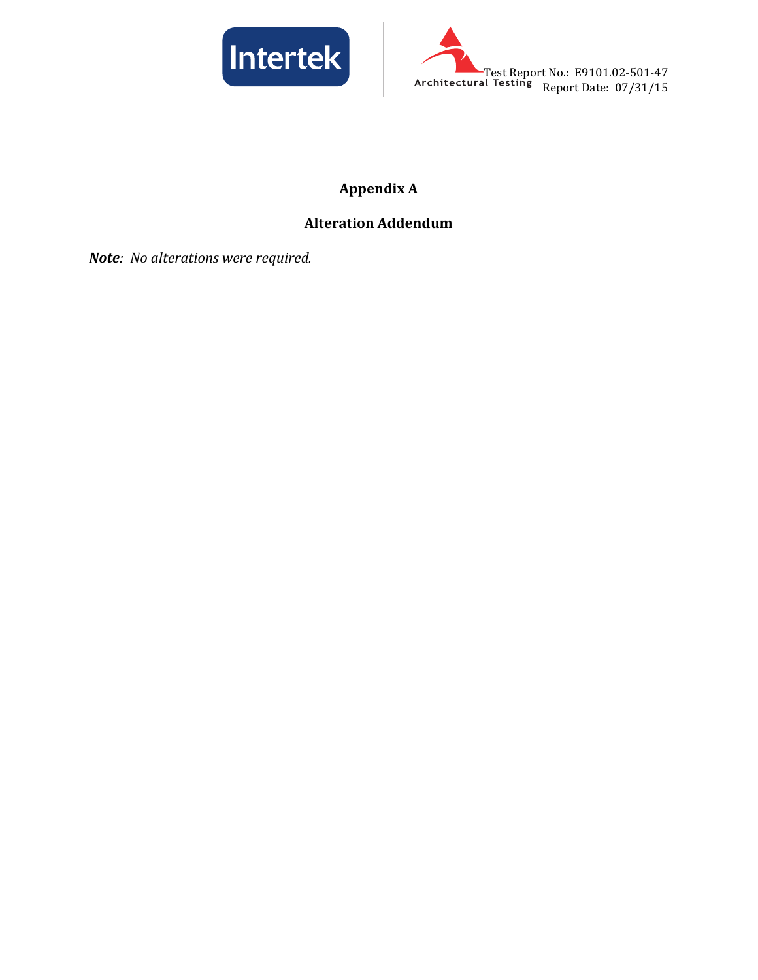



# **Appendix A**

# **Alteration Addendum**

*Note: No alterations were required.*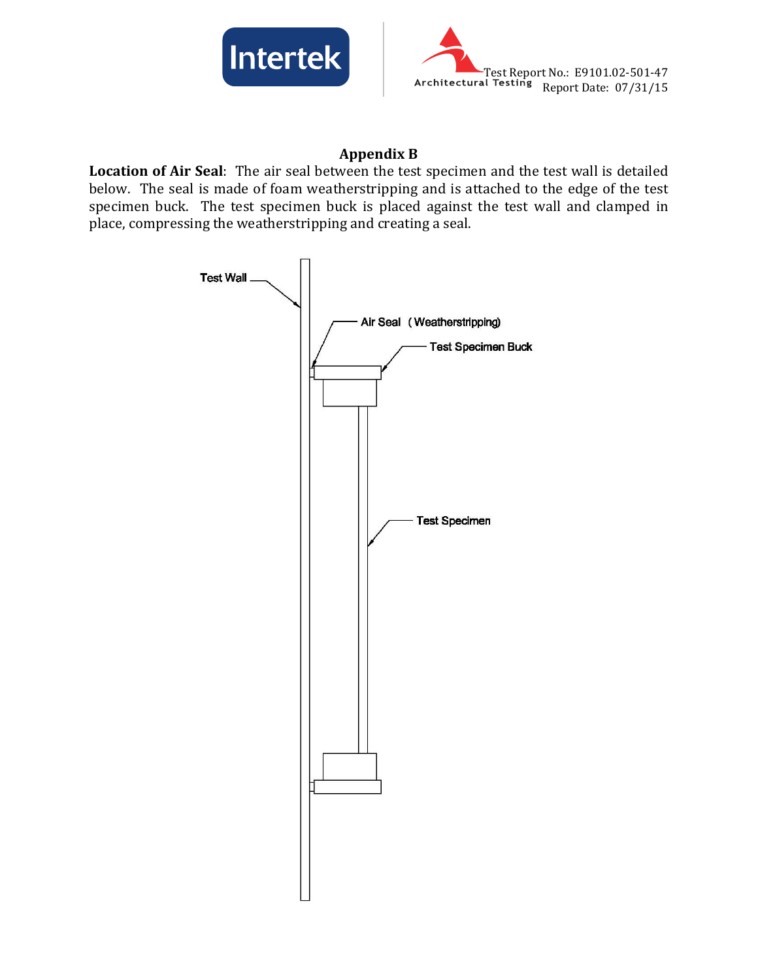



## **Appendix B**

**Location of Air Seal**: The air seal between the test specimen and the test wall is detailed below. The seal is made of foam weatherstripping and is attached to the edge of the test specimen buck. The test specimen buck is placed against the test wall and clamped in place, compressing the weatherstripping and creating a seal.

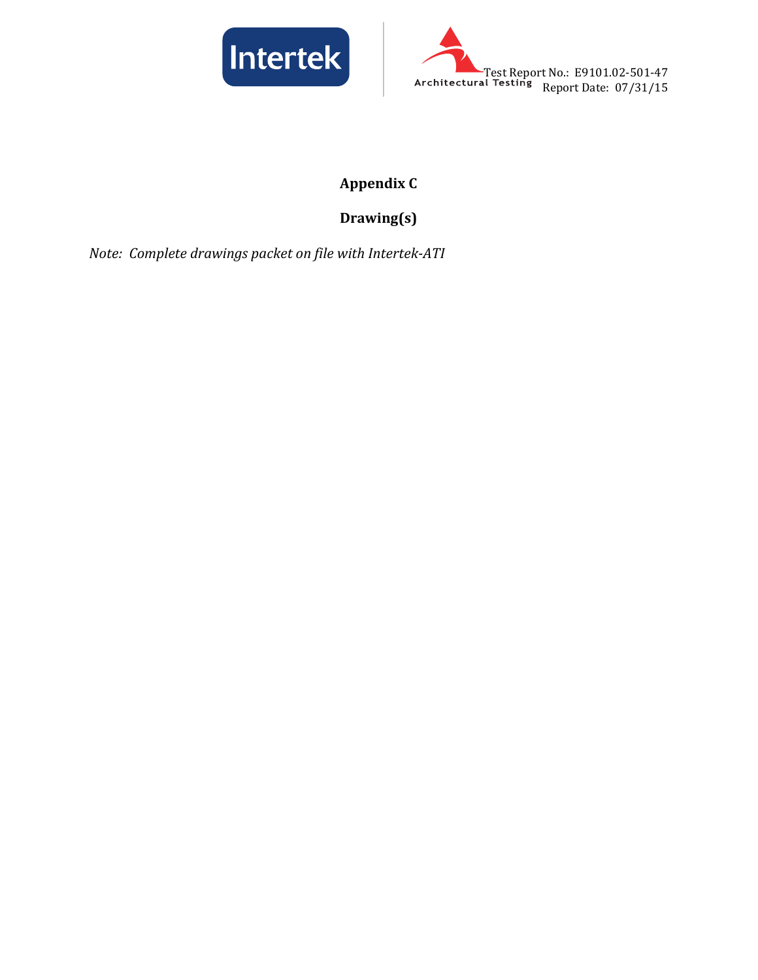



# **Appendix C**

# **Drawing(s)**

*Note: Complete drawings packet on file with Intertek-ATI*